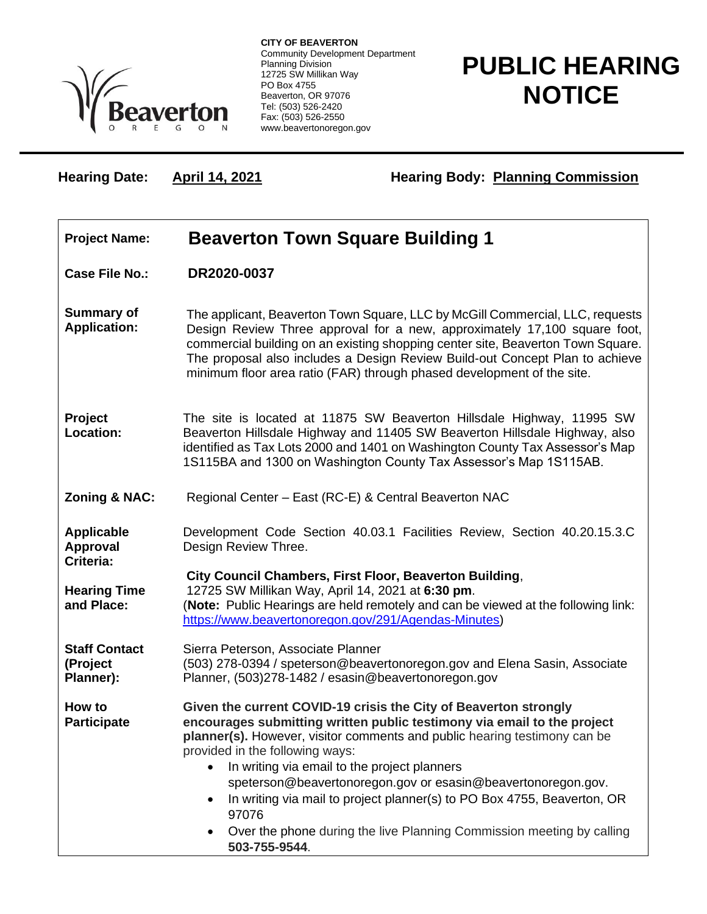

**CITY OF BEAVERTON** Community Development Department Planning Division 12725 SW Millikan Way PO Box 4755 Beaverton, OR 97076 Tel: (503) 526-2420 Fax: (503) 526-2550 www.beavertonoregon.gov

## **PUBLIC HEARING NOTICE**

Hearing Date: **April 14, 2021 Hearing Body: Planning Commission** 

| <b>Project Name:</b>                              | <b>Beaverton Town Square Building 1</b>                                                                                                                                                                                                                                                                                                                                                                                                                                                                                                                   |
|---------------------------------------------------|-----------------------------------------------------------------------------------------------------------------------------------------------------------------------------------------------------------------------------------------------------------------------------------------------------------------------------------------------------------------------------------------------------------------------------------------------------------------------------------------------------------------------------------------------------------|
| <b>Case File No.:</b>                             | DR2020-0037                                                                                                                                                                                                                                                                                                                                                                                                                                                                                                                                               |
| <b>Summary of</b><br><b>Application:</b>          | The applicant, Beaverton Town Square, LLC by McGill Commercial, LLC, requests<br>Design Review Three approval for a new, approximately 17,100 square foot,<br>commercial building on an existing shopping center site, Beaverton Town Square.<br>The proposal also includes a Design Review Build-out Concept Plan to achieve<br>minimum floor area ratio (FAR) through phased development of the site.                                                                                                                                                   |
| Project<br>Location:                              | The site is located at 11875 SW Beaverton Hillsdale Highway, 11995 SW<br>Beaverton Hillsdale Highway and 11405 SW Beaverton Hillsdale Highway, also<br>identified as Tax Lots 2000 and 1401 on Washington County Tax Assessor's Map<br>1S115BA and 1300 on Washington County Tax Assessor's Map 1S115AB.                                                                                                                                                                                                                                                  |
| <b>Zoning &amp; NAC:</b>                          | Regional Center - East (RC-E) & Central Beaverton NAC                                                                                                                                                                                                                                                                                                                                                                                                                                                                                                     |
| <b>Applicable</b><br><b>Approval</b><br>Criteria: | Development Code Section 40.03.1 Facilities Review, Section 40.20.15.3.C<br>Design Review Three.                                                                                                                                                                                                                                                                                                                                                                                                                                                          |
| <b>Hearing Time</b><br>and Place:                 | City Council Chambers, First Floor, Beaverton Building,<br>12725 SW Millikan Way, April 14, 2021 at 6:30 pm.<br>(Note: Public Hearings are held remotely and can be viewed at the following link:<br>https://www.beavertonoregon.gov/291/Agendas-Minutes)                                                                                                                                                                                                                                                                                                 |
| <b>Staff Contact</b><br>(Project<br>Planner):     | Sierra Peterson, Associate Planner<br>(503) 278-0394 / speterson@beavertonoregon.gov and Elena Sasin, Associate<br>Planner, (503)278-1482 / esasin@beavertonoregon.gov                                                                                                                                                                                                                                                                                                                                                                                    |
| How to<br>Participate                             | Given the current COVID-19 crisis the City of Beaverton strongly<br>encourages submitting written public testimony via email to the project<br>planner(s). However, visitor comments and public hearing testimony can be<br>provided in the following ways:<br>In writing via email to the project planners<br>speterson@beavertonoregon.gov or esasin@beavertonoregon.gov.<br>In writing via mail to project planner(s) to PO Box 4755, Beaverton, OR<br>97076<br>Over the phone during the live Planning Commission meeting by calling<br>503-755-9544. |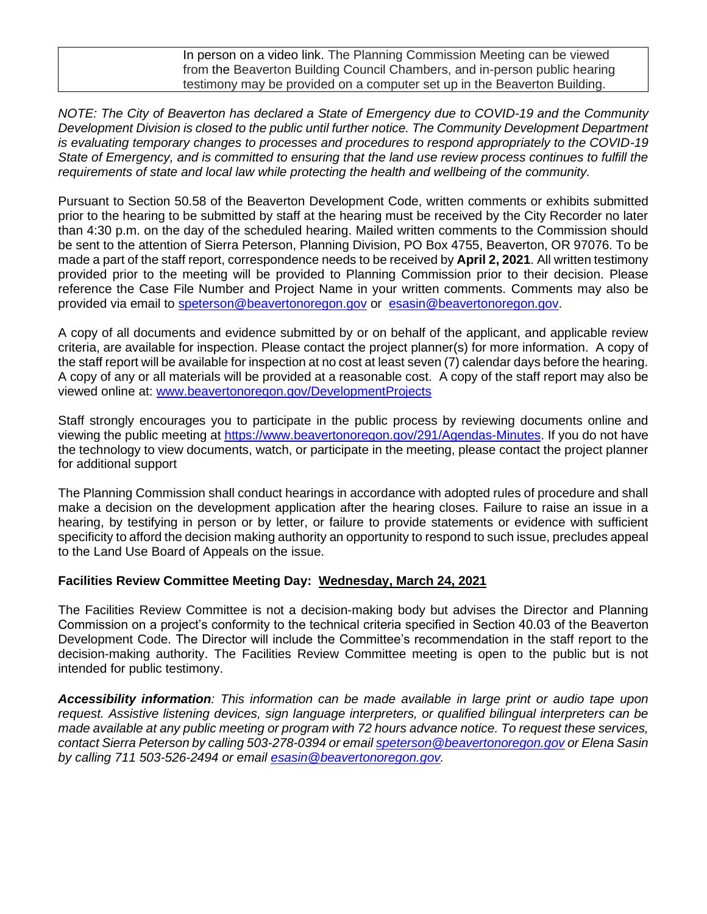In person on a video link. The Planning Commission Meeting can be viewed from the Beaverton Building Council Chambers, and in-person public hearing testimony may be provided on a computer set up in the Beaverton Building.

*NOTE: The City of Beaverton has declared a State of Emergency due to COVID-19 and the Community Development Division is closed to the public until further notice. The Community Development Department is evaluating temporary changes to processes and procedures to respond appropriately to the COVID-19 State of Emergency, and is committed to ensuring that the land use review process continues to fulfill the requirements of state and local law while protecting the health and wellbeing of the community.*

Pursuant to Section 50.58 of the Beaverton Development Code, written comments or exhibits submitted prior to the hearing to be submitted by staff at the hearing must be received by the City Recorder no later than 4:30 p.m. on the day of the scheduled hearing. Mailed written comments to the Commission should be sent to the attention of Sierra Peterson, Planning Division, PO Box 4755, Beaverton, OR 97076. To be made a part of the staff report, correspondence needs to be received by **April 2, 2021**. All written testimony provided prior to the meeting will be provided to Planning Commission prior to their decision. Please reference the Case File Number and Project Name in your written comments. Comments may also be provided via email to [speterson@beavertonoregon.gov](mailto:speterson@beavertonoregon.gov) or [esasin@beavertonoregon.gov.](mailto:esasin@beavertonoregon.gov)

A copy of all documents and evidence submitted by or on behalf of the applicant, and applicable review criteria, are available for inspection. Please contact the project planner(s) for more information. A copy of the staff report will be available for inspection at no cost at least seven (7) calendar days before the hearing. A copy of any or all materials will be provided at a reasonable cost. A copy of the staff report may also be viewed online at: [www.beavertonoregon.gov/DevelopmentProjects](http://www.beavertonoregon.gov/DevelopmentProjects)

Staff strongly encourages you to participate in the public process by reviewing documents online and viewing the public meeting at [https://www.beavertonoregon.gov/291/Agendas-Minutes.](https://www.beavertonoregon.gov/291/Agendas-Minutes) If you do not have the technology to view documents, watch, or participate in the meeting, please contact the project planner for additional support

The Planning Commission shall conduct hearings in accordance with adopted rules of procedure and shall make a decision on the development application after the hearing closes. Failure to raise an issue in a hearing, by testifying in person or by letter, or failure to provide statements or evidence with sufficient specificity to afford the decision making authority an opportunity to respond to such issue, precludes appeal to the Land Use Board of Appeals on the issue.

## **Facilities Review Committee Meeting Day: Wednesday, March 24, 2021**

The Facilities Review Committee is not a decision-making body but advises the Director and Planning Commission on a project's conformity to the technical criteria specified in Section 40.03 of the Beaverton Development Code. The Director will include the Committee's recommendation in the staff report to the decision-making authority. The Facilities Review Committee meeting is open to the public but is not intended for public testimony.

*Accessibility information: This information can be made available in large print or audio tape upon request. Assistive listening devices, sign language interpreters, or qualified bilingual interpreters can be made available at any public meeting or program with 72 hours advance notice. To request these services, contact Sierra Peterson by calling 503-278-0394 or emai[l speterson@beavertonoregon.gov](mailto:speterson@beavertonoregon.gov) or Elena Sasin by calling 711 503-526-2494 or email [esasin@beavertonoregon.gov.](mailto:esasin@beavertonoregon.gov)*